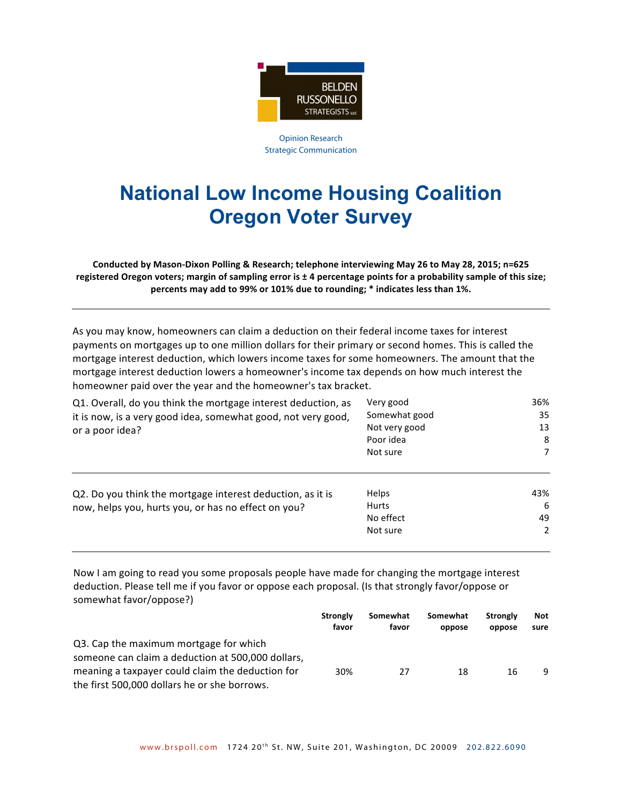

Opinion Research Strategic Communication

## **National Low Income Housing Coalition Oregon Voter Survey**

**Conducted by Mason-Dixon Polling & Research; telephone interviewing May 26 to May 28, 2015; n=625** registered Oregon voters; margin of sampling error is  $\pm$  4 percentage points for a probability sample of this size; **percents** may add to 99% or 101% due to rounding; \* indicates less than 1%.

As you may know, homeowners can claim a deduction on their federal income taxes for interest payments on mortgages up to one million dollars for their primary or second homes. This is called the mortgage interest deduction, which lowers income taxes for some homeowners. The amount that the mortgage interest deduction lowers a homeowner's income tax depends on how much interest the homeowner paid over the year and the homeowner's tax bracket.

| Q1. Overall, do you think the mortgage interest deduction, as                                                     | Very good                                             | 36%                             |  |
|-------------------------------------------------------------------------------------------------------------------|-------------------------------------------------------|---------------------------------|--|
| it is now, is a very good idea, somewhat good, not very good,                                                     | Somewhat good                                         | 35                              |  |
| or a poor idea?                                                                                                   | Not very good                                         | 13<br>8                         |  |
|                                                                                                                   | Poor idea                                             |                                 |  |
|                                                                                                                   | Not sure                                              | 7                               |  |
| Q2. Do you think the mortgage interest deduction, as it is<br>now, helps you, hurts you, or has no effect on you? | <b>Helps</b><br><b>Hurts</b><br>No effect<br>Not sure | 43%<br>6<br>49<br>$\mathcal{P}$ |  |
|                                                                                                                   |                                                       |                                 |  |

Now I am going to read you some proposals people have made for changing the mortgage interest deduction. Please tell me if you favor or oppose each proposal. (Is that strongly favor/oppose or somewhat favor/oppose?)

|                                                   | <b>Strongly</b><br>favor | Somewhat<br>favor | Somewhat<br>oppose | <b>Strongly</b><br>oppose | <b>Not</b><br>sure |
|---------------------------------------------------|--------------------------|-------------------|--------------------|---------------------------|--------------------|
| Q3. Cap the maximum mortgage for which            |                          |                   |                    |                           |                    |
| someone can claim a deduction at 500,000 dollars, |                          |                   |                    |                           |                    |
| meaning a taxpayer could claim the deduction for  | 30%                      | 27                | 18                 | 16                        | q                  |
| the first 500,000 dollars he or she borrows.      |                          |                   |                    |                           |                    |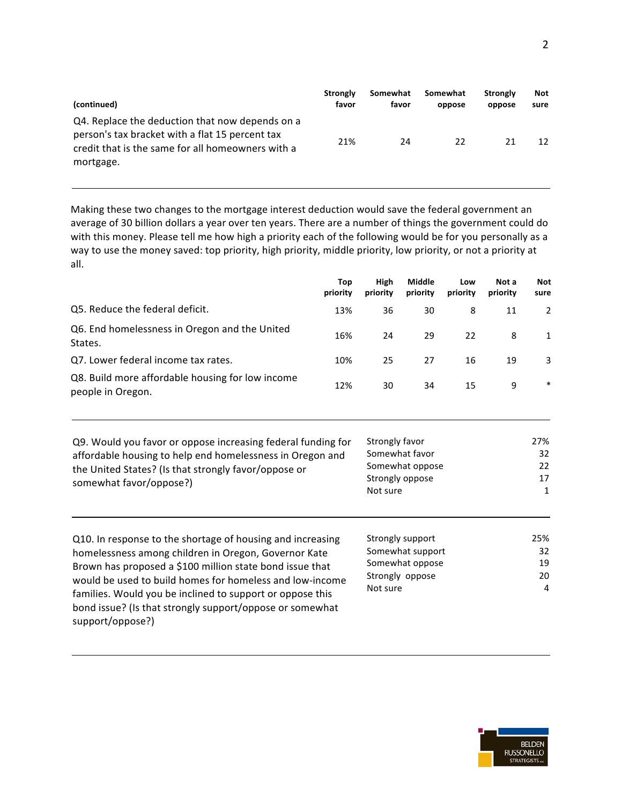| (continued)                                                                                                                                                          | <b>Strongly</b> | Somewhat | Somewhat | Strongly | <b>Not</b> |
|----------------------------------------------------------------------------------------------------------------------------------------------------------------------|-----------------|----------|----------|----------|------------|
|                                                                                                                                                                      | favor           | favor    | oppose   | oppose   | sure       |
| Q4. Replace the deduction that now depends on a<br>person's tax bracket with a flat 15 percent tax<br>credit that is the same for all homeowners with a<br>mortgage. | 21%             | 24       | 22       | 21       | 12         |

Making these two changes to the mortgage interest deduction would save the federal government an average of 30 billion dollars a year over ten years. There are a number of things the government could do with this money. Please tell me how high a priority each of the following would be for you personally as a way to use the money saved: top priority, high priority, middle priority, low priority, or not a priority at all.

|                                                                       | Top<br>priority | High<br>priority | Middle<br>priority | Low<br>priority | Not a<br>priority | <b>Not</b><br>sure |
|-----------------------------------------------------------------------|-----------------|------------------|--------------------|-----------------|-------------------|--------------------|
| Q5. Reduce the federal deficit.                                       | 13%             | 36               | 30                 | 8               | 11                |                    |
| Q6. End homelessness in Oregon and the United<br>States.              | 16%             | 24               | 29                 | 22              | 8                 | $\mathbf{1}$       |
| Q7. Lower federal income tax rates.                                   | 10%             | 25               | 27                 | 16              | 19                | 3                  |
| Q8. Build more affordable housing for low income<br>people in Oregon. | 12%             | 30               | 34                 | 15              | 9                 | $\ast$             |

Q9. Would you favor or oppose increasing federal funding for affordable housing to help end homelessness in Oregon and the United States? (Is that strongly favor/oppose or somewhat favor/oppose?)

| Strongly favor  | 27% |
|-----------------|-----|
| Somewhat favor  | 32  |
| Somewhat oppose | 22  |
| Strongly oppose | 17  |
| Not sure        |     |
|                 |     |

Q10. In response to the shortage of housing and increasing homelessness among children in Oregon, Governor Kate Brown has proposed a \$100 million state bond issue that would be used to build homes for homeless and low-income families. Would you be inclined to support or oppose this bond issue? (Is that strongly support/oppose or somewhat support/oppose?)

| Strongly support | 25% |
|------------------|-----|
| Somewhat support | 32  |
| Somewhat oppose  | 19  |
| Strongly oppose  | 20  |
| Not sure         |     |
|                  |     |